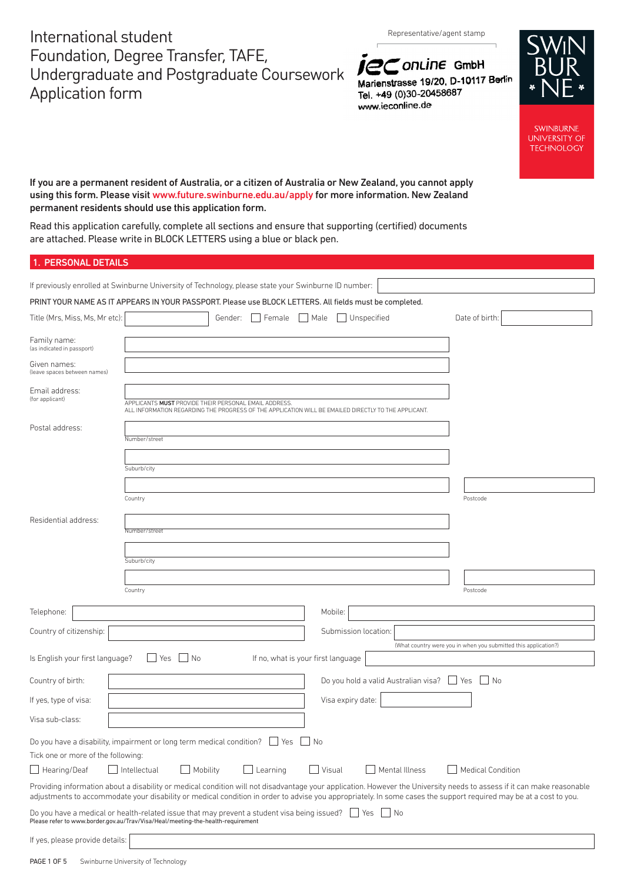International student Foundation, Degree Transfer, TAFE, Undergraduate and Postgraduate Coursework Application form

Representative/agent stamp





**SWINBURNE UNIVERSITY OF TECHNOLOGY** 

If you are a permanent resident of Australia, or a citizen of Australia or New Zealand, you cannot apply using this form. Please visit [www.future.swinburne.edu.au/apply](http://www.future.swinburne.edu.au/apply) for more information. New Zealand permanent residents should use this application form.

Read this application carefully, complete all sections and ensure that supporting (certified) documents are attached. Please write in BLOCK LETTERS using a blue or black pen.

|  |  | <b>1. PERSONAL DETAILS</b> |  |  |  |
|--|--|----------------------------|--|--|--|
|  |  |                            |  |  |  |

| If previously enrolled at Swinburne University of Technology, please state your Swinburne ID number:                                                                                                                                                                                                                                        |                                                                                                                                                               |         |                                    |      |                      |                                                                 |                          |            |  |
|---------------------------------------------------------------------------------------------------------------------------------------------------------------------------------------------------------------------------------------------------------------------------------------------------------------------------------------------|---------------------------------------------------------------------------------------------------------------------------------------------------------------|---------|------------------------------------|------|----------------------|-----------------------------------------------------------------|--------------------------|------------|--|
| PRINT YOUR NAME AS IT APPEARS IN YOUR PASSPORT. Please use BLOCK LETTERS. All fields must be completed.                                                                                                                                                                                                                                     |                                                                                                                                                               |         |                                    |      |                      |                                                                 |                          |            |  |
| Title (Mrs, Miss, Ms, Mr etc):                                                                                                                                                                                                                                                                                                              |                                                                                                                                                               | Gender: | Female                             | Male | Unspecified          |                                                                 | Date of birth:           |            |  |
| Family name:<br>(as indicated in passport)                                                                                                                                                                                                                                                                                                  |                                                                                                                                                               |         |                                    |      |                      |                                                                 |                          |            |  |
| Given names:<br>(leave spaces between names)                                                                                                                                                                                                                                                                                                |                                                                                                                                                               |         |                                    |      |                      |                                                                 |                          |            |  |
| Email address:<br>(for applicant)                                                                                                                                                                                                                                                                                                           | APPLICANTS MUST PROVIDE THEIR PERSONAL EMAIL ADDRESS.<br>ALL INFORMATION REGARDING THE PROGRESS OF THE APPLICATION WILL BE EMAILED DIRECTLY TO THE APPLICANT. |         |                                    |      |                      |                                                                 |                          |            |  |
| Postal address:                                                                                                                                                                                                                                                                                                                             | Number/street                                                                                                                                                 |         |                                    |      |                      |                                                                 |                          |            |  |
|                                                                                                                                                                                                                                                                                                                                             | Suburb/city                                                                                                                                                   |         |                                    |      |                      |                                                                 |                          |            |  |
|                                                                                                                                                                                                                                                                                                                                             |                                                                                                                                                               |         |                                    |      |                      |                                                                 |                          |            |  |
|                                                                                                                                                                                                                                                                                                                                             | Country                                                                                                                                                       |         |                                    |      |                      |                                                                 | Postcode                 |            |  |
| Residential address:                                                                                                                                                                                                                                                                                                                        | Number/street                                                                                                                                                 |         |                                    |      |                      |                                                                 |                          |            |  |
|                                                                                                                                                                                                                                                                                                                                             | Suburb/city                                                                                                                                                   |         |                                    |      |                      |                                                                 |                          |            |  |
|                                                                                                                                                                                                                                                                                                                                             |                                                                                                                                                               |         |                                    |      |                      |                                                                 |                          |            |  |
|                                                                                                                                                                                                                                                                                                                                             | Country                                                                                                                                                       |         |                                    |      |                      |                                                                 | Postcode                 |            |  |
| Telephone:                                                                                                                                                                                                                                                                                                                                  |                                                                                                                                                               |         |                                    |      | Mobile:              |                                                                 |                          |            |  |
| Country of citizenship:                                                                                                                                                                                                                                                                                                                     |                                                                                                                                                               |         |                                    |      | Submission location: |                                                                 |                          |            |  |
|                                                                                                                                                                                                                                                                                                                                             |                                                                                                                                                               |         |                                    |      |                      | (What country were you in when you submitted this application?) |                          |            |  |
| Is English your first language?                                                                                                                                                                                                                                                                                                             | No<br>Yes                                                                                                                                                     |         | If no, what is your first language |      |                      |                                                                 |                          |            |  |
| Country of birth:                                                                                                                                                                                                                                                                                                                           |                                                                                                                                                               |         |                                    |      |                      | Do you hold a valid Australian visa?                            | Yes                      | $\vert$ No |  |
| If yes, type of visa:                                                                                                                                                                                                                                                                                                                       |                                                                                                                                                               |         |                                    |      | Visa expiry date:    |                                                                 |                          |            |  |
| Visa sub-class:                                                                                                                                                                                                                                                                                                                             |                                                                                                                                                               |         |                                    |      |                      |                                                                 |                          |            |  |
| Do you have a disability, impairment or long term medical condition?                                                                                                                                                                                                                                                                        |                                                                                                                                                               |         | Yes                                | ∣No  |                      |                                                                 |                          |            |  |
| Tick one or more of the following:                                                                                                                                                                                                                                                                                                          |                                                                                                                                                               |         |                                    |      |                      |                                                                 |                          |            |  |
| Hearing/Deaf                                                                                                                                                                                                                                                                                                                                | Intellectual<br>Mobility                                                                                                                                      |         | Learning                           |      | Visual               | Mental Illness                                                  | <b>Medical Condition</b> |            |  |
| Providing information about a disability or medical condition will not disadvantage your application. However the University needs to assess if it can make reasonable<br>adjustments to accommodate your disability or medical condition in order to advise you appropriately. In some cases the support required may be at a cost to you. |                                                                                                                                                               |         |                                    |      |                      |                                                                 |                          |            |  |
| Do you have a medical or health-related issue that may prevent a student visa being issued? $\Box$ Yes $\Box$ No<br>Please refer to www.border.gov.au/Trav/Visa/Heal/meeting-the-health-requirement                                                                                                                                         |                                                                                                                                                               |         |                                    |      |                      |                                                                 |                          |            |  |
| If yes, please provide details:                                                                                                                                                                                                                                                                                                             |                                                                                                                                                               |         |                                    |      |                      |                                                                 |                          |            |  |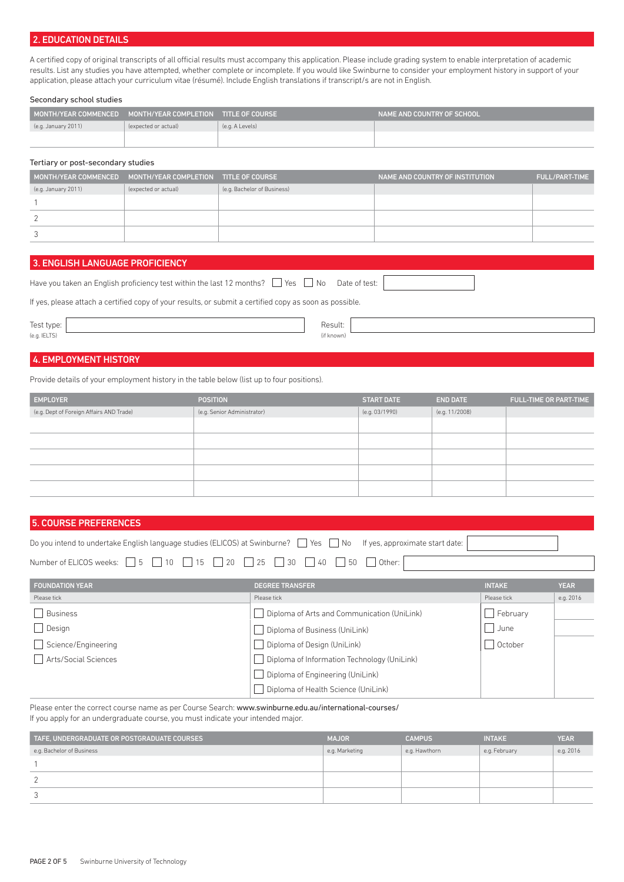# 2. EDUCATION DETAILS

A certified copy of original transcripts of all official results must accompany this application. Please include grading system to enable interpretation of academic results. List any studies you have attempted, whether complete or incomplete. If you would like Swinburne to consider your employment history in support of your application, please attach your curriculum vitae (résumé). Include English translations if transcript/s are not in English.

#### Secondary school studies

| MONTH/YEAR COMMENCED | MONTH/YEAR COMPLETION TITLE OF COURSE |                 | NAME AND COUNTRY OF SCHOOL ' |
|----------------------|---------------------------------------|-----------------|------------------------------|
| (e.g. January 2011)  | (expected or actual)                  | (e.g. A Levels) |                              |
|                      |                                       |                 |                              |

#### Tertiary or post-secondary studies

| MONTH/YEAR COMMENCED MONTH/YEAR COMPLETION TITLE OF COURSE |                      |                             | NAME AND COUNTRY OF INSTITUTION | <b>FULL/PART-TIME</b> |
|------------------------------------------------------------|----------------------|-----------------------------|---------------------------------|-----------------------|
| (e.g. January 2011)                                        | (expected or actual) | (e.g. Bachelor of Business) |                                 |                       |
|                                                            |                      |                             |                                 |                       |
|                                                            |                      |                             |                                 |                       |
|                                                            |                      |                             |                                 |                       |

## 3. ENGLISH LANGUAGE PROFICIENCY

| Have you taken an English proficiency test within the last 12 months? $\Box$ Yes $\Box$ No Date of test: |  |
|----------------------------------------------------------------------------------------------------------|--|

If yes, please attach a certified copy of your results, or submit a certified copy as soon as possible.

#### Test type:  $\begin{array}{|c|c|c|c|c|}\n\hline\n\text{Result:} & \text{Result:} & \text{Result:} & \text{Result:} & \text{Result:} & \text{Result:} & \text{Result:} & \text{Result:} & \text{Result:} & \text{Result:} & \text{Result:} & \text{Result:} & \text{Result:} & \text{Result:} & \text{Mult:} & \text{Mult:} & \text{Mult:} & \text{Mult:} & \text{Mult:} & \text{Mult:} & \text{Mult:} & \text{Mult:} & \text{Mult:} & \text{Mult:} & \text{Mult:} & \text{Mult:} & \text{Mult:}$ (e.g. IELTS) (if known)

# 4. EMPLOYMENT HISTORY

Provide details of your employment history in the table below (list up to four positions).

| <b>EMPLOYER</b>                          | <b>POSITION</b>             | <b>START DATE</b> | <b>END DATE</b> | <b>FULL-TIME OR PART-TIME</b> |
|------------------------------------------|-----------------------------|-------------------|-----------------|-------------------------------|
| (e.g. Dept of Foreign Affairs AND Trade) | (e.g. Senior Administrator) | (e.g. 03/1990)    | (e.g. 11/2008)  |                               |
|                                          |                             |                   |                 |                               |
|                                          |                             |                   |                 |                               |
|                                          |                             |                   |                 |                               |
|                                          |                             |                   |                 |                               |
|                                          |                             |                   |                 |                               |

### 5. COURSE PREFERENCES

| Do you intend to undertake English language studies (ELICOS) at Swinburne? Nes No If yes, approximate start date:    |  |
|----------------------------------------------------------------------------------------------------------------------|--|
| Number of ELICOS weeks: $\Box$ 5 $\Box$ 10 $\Box$ 15 $\Box$ 20 $\Box$ 25 $\Box$ 30 $\Box$ 40 $\Box$ 50 $\Box$ Other: |  |

| <b>FOUNDATION YEAR</b> | <b>DEGREE TRANSFER</b>                      | <b>INTAKE</b> | <b>YEAR</b> |
|------------------------|---------------------------------------------|---------------|-------------|
| Please tick            | Please tick                                 | Please tick   | e.g. 2016   |
| <b>Business</b>        | Diploma of Arts and Communication (UniLink) | February      |             |
| Design                 | Diploma of Business (UniLink)               | June          |             |
| Science/Engineering    | Diploma of Design (UniLink)                 | October       |             |
| Arts/Social Sciences   | Diploma of Information Technology (UniLink) |               |             |
|                        | Diploma of Engineering (UniLink)            |               |             |
|                        | Diploma of Health Science (UniLink)         |               |             |

Please enter the correct course name as per Course Search: www.swinburne.edu.au/international-courses/ If you apply for an undergraduate course, you must indicate your intended major.

| TAFE, UNDERGRADUATE OR POSTGRADUATE COURSES | <b>MAJOR</b>   | <b>CAMPUS</b> | <b>INTAKE</b> | <b>YEAR</b> |
|---------------------------------------------|----------------|---------------|---------------|-------------|
| e.g. Bachelor of Business                   | e.g. Marketing | e.g. Hawthorn | e.g. February | e.g. 2016   |
|                                             |                |               |               |             |
|                                             |                |               |               |             |
|                                             |                |               |               |             |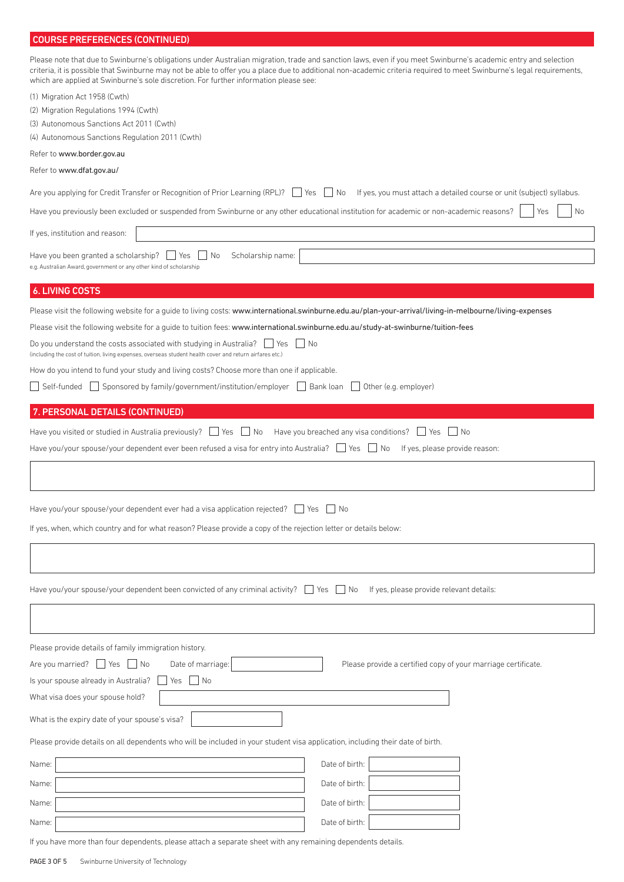# COURSE PREFERENCES (CONTINUED)

| Please note that due to Swinburne's obligations under Australian migration, trade and sanction laws, even if you meet Swinburne's academic entry and selection<br>criteria, it is possible that Swinburne may not be able to offer you a place due to additional non-academic criteria required to meet Swinburne's legal requirements,<br>which are applied at Swinburne's sole discretion. For further information please see: |                                                                       |
|----------------------------------------------------------------------------------------------------------------------------------------------------------------------------------------------------------------------------------------------------------------------------------------------------------------------------------------------------------------------------------------------------------------------------------|-----------------------------------------------------------------------|
| (1) Migration Act 1958 (Cwth)                                                                                                                                                                                                                                                                                                                                                                                                    |                                                                       |
| (2) Migration Regulations 1994 (Cwth)                                                                                                                                                                                                                                                                                                                                                                                            |                                                                       |
| (3) Autonomous Sanctions Act 2011 (Cwth)                                                                                                                                                                                                                                                                                                                                                                                         |                                                                       |
| (4) Autonomous Sanctions Regulation 2011 (Cwth)                                                                                                                                                                                                                                                                                                                                                                                  |                                                                       |
| Refer to www.border.gov.au                                                                                                                                                                                                                                                                                                                                                                                                       |                                                                       |
| Refer to www.dfat.gov.au/                                                                                                                                                                                                                                                                                                                                                                                                        |                                                                       |
| Are you applying for Credit Transfer or Recognition of Prior Learning (RPL)? $\Box$ Yes $\Box$ No                                                                                                                                                                                                                                                                                                                                | If yes, you must attach a detailed course or unit (subject) syllabus. |
| Have you previously been excluded or suspended from Swinburne or any other educational institution for academic or non-academic reasons?                                                                                                                                                                                                                                                                                         | No<br>Yes                                                             |
| If yes, institution and reason:                                                                                                                                                                                                                                                                                                                                                                                                  |                                                                       |
| Have you been granted a scholarship?<br>l Yes<br>No<br>Scholarship name:<br>e.g. Australian Award, government or any other kind of scholarship                                                                                                                                                                                                                                                                                   |                                                                       |
| <b>6. LIVING COSTS</b>                                                                                                                                                                                                                                                                                                                                                                                                           |                                                                       |
| Please visit the following website for a guide to living costs: www.international.swinburne.edu.au/plan-your-arrival/living-in-melbourne/living-expenses                                                                                                                                                                                                                                                                         |                                                                       |
| Please visit the following website for a guide to tuition fees: www.international.swinburne.edu.au/study-at-swinburne/tuition-fees                                                                                                                                                                                                                                                                                               |                                                                       |
| Do you understand the costs associated with studying in Australia?  <br>l Yes<br>IINo                                                                                                                                                                                                                                                                                                                                            |                                                                       |
| (including the cost of tuition, living expenses, overseas student health cover and return airfares etc.)                                                                                                                                                                                                                                                                                                                         |                                                                       |
| How do you intend to fund your study and living costs? Choose more than one if applicable.                                                                                                                                                                                                                                                                                                                                       |                                                                       |
| Self-funded   Sponsored by family/government/institution/employer                                                                                                                                                                                                                                                                                                                                                                | Bank loan<br>Other (e.g. employer)                                    |
| 7. PERSONAL DETAILS (CONTINUED)                                                                                                                                                                                                                                                                                                                                                                                                  |                                                                       |
| Have you visited or studied in Australia previously?     Yes<br>No                                                                                                                                                                                                                                                                                                                                                               | Have you breached any visa conditions? $\Box$ Yes<br>No               |
| Have you/your spouse/your dependent ever been refused a visa for entry into Australia? $\Box$ Yes $\Box$ No                                                                                                                                                                                                                                                                                                                      | If yes, please provide reason:                                        |
|                                                                                                                                                                                                                                                                                                                                                                                                                                  |                                                                       |
| Have you/your spouse/your dependent ever had a visa application rejected?                                                                                                                                                                                                                                                                                                                                                        | Yes<br>No                                                             |
| If yes, when, which country and for what reason? Please provide a copy of the rejection letter or details below:                                                                                                                                                                                                                                                                                                                 |                                                                       |
|                                                                                                                                                                                                                                                                                                                                                                                                                                  |                                                                       |
|                                                                                                                                                                                                                                                                                                                                                                                                                                  |                                                                       |
| Have you/your spouse/your dependent been convicted of any criminal activity? ■ Yes ■ No If yes, please provide relevant details:                                                                                                                                                                                                                                                                                                 |                                                                       |
|                                                                                                                                                                                                                                                                                                                                                                                                                                  |                                                                       |
| Please provide details of family immigration history.<br>Are you married?   Yes   No<br>Date of marriage:<br>Is your spouse already in Australia?<br>$\overline{\phantom{a}}$ No<br>Yes                                                                                                                                                                                                                                          | Please provide a certified copy of your marriage certificate.         |
| What visa does your spouse hold?                                                                                                                                                                                                                                                                                                                                                                                                 |                                                                       |
| What is the expiry date of your spouse's visa?                                                                                                                                                                                                                                                                                                                                                                                   |                                                                       |
| Please provide details on all dependents who will be included in your student visa application, including their date of birth.                                                                                                                                                                                                                                                                                                   |                                                                       |
| Name:                                                                                                                                                                                                                                                                                                                                                                                                                            | Date of birth:                                                        |
| Name:                                                                                                                                                                                                                                                                                                                                                                                                                            | Date of birth:                                                        |
| Name:                                                                                                                                                                                                                                                                                                                                                                                                                            | Date of birth:                                                        |
| Name:                                                                                                                                                                                                                                                                                                                                                                                                                            | Date of birth:                                                        |

If you have more than four dependents, please attach a separate sheet with any remaining dependents details.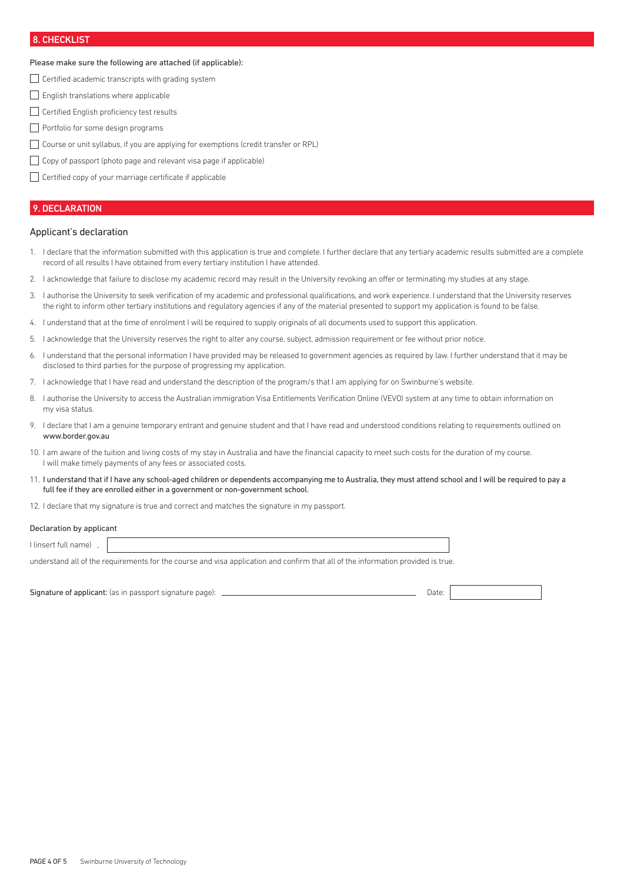# 8. CHECKLIST

## Please make sure the following are attached (if applicable):

- $\Box$  Certified academic transcripts with grading system
- English translations where applicable
- □ Certified English proficiency test results
- Portfolio for some design programs
- Course or unit syllabus, if you are applying for exemptions (credit transfer or RPL)
- $\Box$  Copy of passport (photo page and relevant visa page if applicable)
- Certified copy of your marriage certificate if applicable

## 9. DECLARATION

#### Applicant's declaration

- 1. I declare that the information submitted with this application is true and complete. I further declare that any tertiary academic results submitted are a complete record of all results I have obtained from every tertiary institution I have attended.
- 2. I acknowledge that failure to disclose my academic record may result in the University revoking an offer or terminating my studies at any stage.
- 3. I authorise the University to seek verification of my academic and professional qualifications, and work experience. I understand that the University reserves the right to inform other tertiary institutions and regulatory agencies if any of the material presented to support my application is found to be false.
- 4. I understand that at the time of enrolment I will be required to supply originals of all documents used to support this application.
- 5. I acknowledge that the University reserves the right to alter any course, subject, admission requirement or fee without prior notice.
- I understand that the personal information I have provided may be released to government agencies as required by law. I further understand that it may be disclosed to third parties for the purpose of progressing my application.
- 7. I acknowledge that I have read and understand the description of the program/s that I am applying for on Swinburne's website.
- 8. I authorise the University to access the Australian immigration Visa Entitlements Verification Online (VEVO) system at any time to obtain information on my visa status.
- 9. I declare that I am a genuine temporary entrant and genuine student and that I have read and understood conditions relating to requirements outlined on www.border.gov.au
- 10. I am aware of the tuition and living costs of my stay in Australia and have the financial capacity to meet such costs for the duration of my course. I will make timely payments of any fees or associated costs.
- 11. I understand that if I have any school-aged children or dependents accompanying me to Australia, they must attend school and I will be required to pay a full fee if they are enrolled either in a government or non-government school.
- 12. I declare that my signature is true and correct and matches the signature in my passport.

#### Declaration by applicant

I (insert full name) ,

understand all of the requirements for the course and visa application and confirm that all of the information provided is true.

Signature of applicant: (as in passport signature page): Date: